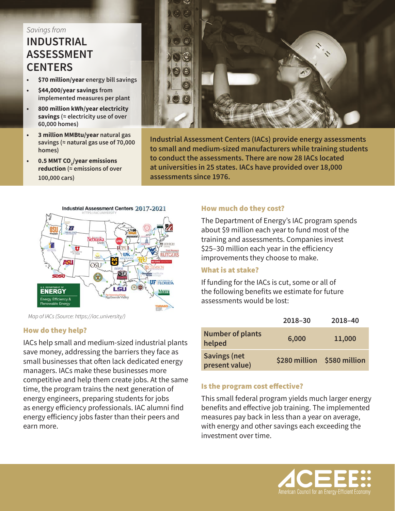# *Savings from* **INDUSTRIAL ASSESSMENT CENTERS**

- **• \$70 million/year energy bill savings**
- **• \$44,000/year savings from implemented measures per plant**
- **• 800 million kWh/year electricity savings (≈ electricity use of over 60,000 homes)**
- **• 3 million MMBtu/year natural gas savings (≈ natural gas use of 70,000 homes)**
- **0.5 MMT CO**<sub>2</sub>/year emissions **reduction (≈ emissions of over 100,000 cars)**



*Map of IACs (Source: https://iac.university/)*

# How do they help?

IACs help small and medium-sized industrial plants save money, addressing the barriers they face as small businesses that often lack dedicated energy managers. IACs make these businesses more competitive and help them create jobs. At the same time, the program trains the next generation of energy engineers, preparing students for jobs as energy efficiency professionals. IAC alumni find energy efficiency jobs faster than their peers and earn more.



**Industrial Assessment Centers (IACs) provide energy assessments to small and medium-sized manufacturers while training students to conduct the assessments. There are now 28 IACs located at universities in 25 states. IACs have provided over 18,000 assessments since 1976.**

# How much do they cost?

The Department of Energy's IAC program spends about \$9 million each year to fund most of the training and assessments. Companies invest \$25–30 million each year in the efficiency improvements they choose to make.

### What is at stake?

If funding for the IACs is cut, some or all of the following benefits we estimate for future assessments would be lost:

|                                       | 2018-30                     | 2018-40 |
|---------------------------------------|-----------------------------|---------|
| <b>Number of plants</b><br>helped     | 6,000                       | 11,000  |
| <b>Savings (net</b><br>present value) | \$280 million \$580 million |         |

# Is the program cost effective?

This small federal program yields much larger energy benefits and effective job training. The implemented measures pay back in less than a year on average, with energy and other savings each exceeding the investment over time.